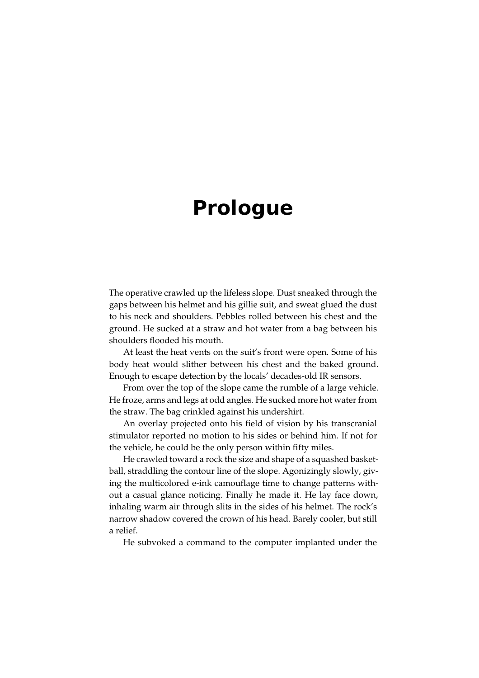# **Prologue**

The operative crawled up the lifeless slope. Dust sneaked through the gaps between his helmet and his gillie suit, and sweat glued the dust to his neck and shoulders. Pebbles rolled between his chest and the ground. He sucked at a straw and hot water from a bag between his shoulders flooded his mouth.

At least the heat vents on the suit's front were open. Some of his body heat would slither between his chest and the baked ground. Enough to escape detection by the locals' decades-old IR sensors.

From over the top of the slope came the rumble of a large vehicle. He froze, arms and legs at odd angles. He sucked more hot water from the straw. The bag crinkled against his undershirt.

An overlay projected onto his field of vision by his transcranial stimulator reported no motion to his sides or behind him. If not for the vehicle, he could be the only person within fifty miles.

He crawled toward a rock the size and shape of a squashed basketball, straddling the contour line of the slope. Agonizingly slowly, giving the multicolored e-ink camouflage time to change patterns without a casual glance noticing. Finally he made it. He lay face down, inhaling warm air through slits in the sides of his helmet. The rock's narrow shadow covered the crown of his head. Barely cooler, but still a relief.

He subvoked a command to the computer implanted under the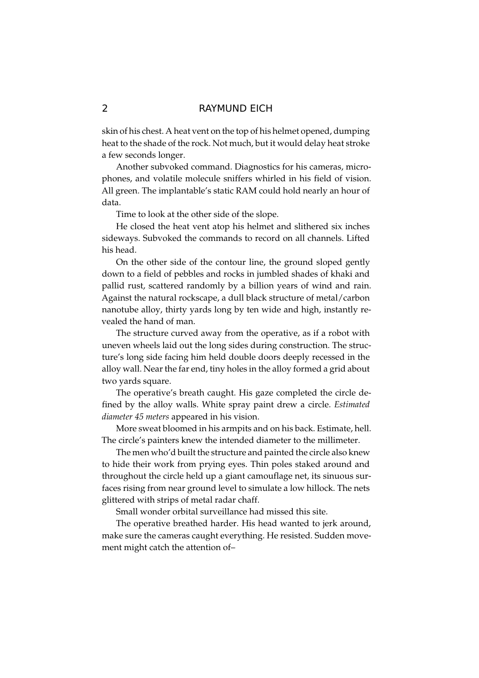skin of his chest. A heat vent on the top of his helmet opened, dumping heat to the shade of the rock. Not much, but it would delay heat stroke a few seconds longer.

Another subvoked command. Diagnostics for his cameras, microphones, and volatile molecule sniffers whirled in his field of vision. All green. The implantable's static RAM could hold nearly an hour of data.

Time to look at the other side of the slope.

He closed the heat vent atop his helmet and slithered six inches sideways. Subvoked the commands to record on all channels. Lifted his head.

On the other side of the contour line, the ground sloped gently down to a field of pebbles and rocks in jumbled shades of khaki and pallid rust, scattered randomly by a billion years of wind and rain. Against the natural rockscape, a dull black structure of metal/carbon nanotube alloy, thirty yards long by ten wide and high, instantly revealed the hand of man.

The structure curved away from the operative, as if a robot with uneven wheels laid out the long sides during construction. The structure's long side facing him held double doors deeply recessed in the alloy wall. Near the far end, tiny holes in the alloy formed a grid about two yards square.

The operative's breath caught. His gaze completed the circle defined by the alloy walls. White spray paint drew a circle. Estimated diameter 45 meters appeared in his vision.

More sweat bloomed in his armpits and on his back. Estimate, hell. The circle's painters knew the intended diameter to the millimeter.

The men who'd built the structure and painted the circle also knew to hide their work from prying eyes. Thin poles staked around and throughout the circle held up a giant camouflage net, its sinuous surfaces rising from near ground level to simulate a low hillock. The nets glittered with strips of metal radar chaff.

Small wonder orbital surveillance had missed this site.

The operative breathed harder. His head wanted to jerk around, make sure the cameras caught everything. He resisted. Sudden movement might catch the attention of-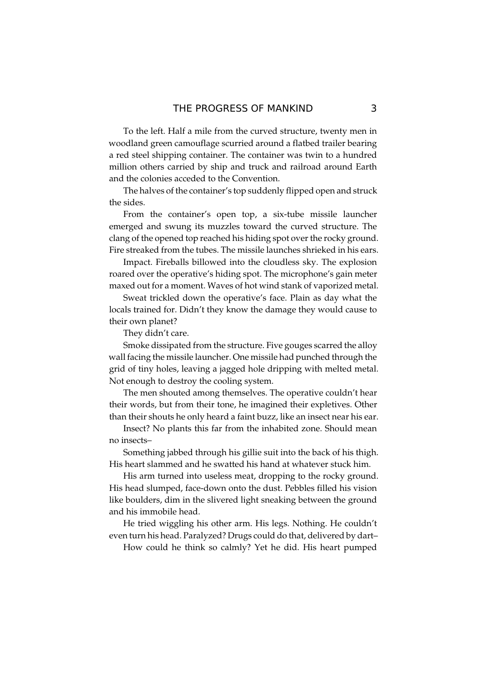To the left. Half a mile from the curved structure, twenty men in woodland green camouflage scurried around a flatbed trailer bearing a red steel shipping container. The container was twin to a hundred million others carried by ship and truck and railroad around Earth and the colonies acceded to the Convention.

The halves of the container's top suddenly flipped open and struck the sides.

From the container's open top, a six-tube missile launcher emerged and swung its muzzles toward the curved structure. The clang of the opened top reached his hiding spot over the rocky ground. Fire streaked from the tubes. The missile launches shrieked in his ears.

Impact. Fireballs billowed into the cloudless sky. The explosion roared over the operative's hiding spot. The microphone's gain meter maxed out for a moment. Waves of hot wind stank of vaporized metal.

Sweat trickled down the operative's face. Plain as day what the locals trained for. Didn't they know the damage they would cause to their own planet?

They didn't care.

Smoke dissipated from the structure. Five gouges scarred the alloy wall facing the missile launcher. One missile had punched through the grid of tiny holes, leaving a jagged hole dripping with melted metal. Not enough to destroy the cooling system.

The men shouted among themselves. The operative couldn't hear their words, but from their tone, he imagined their expletives. Other than their shouts he only heard a faint buzz, like an insect near his ear.

Insect? No plants this far from the inhabited zone. Should mean no insects-

Something jabbed through his gillie suit into the back of his thigh. His heart slammed and he swatted his hand at whatever stuck him.

His arm turned into useless meat, dropping to the rocky ground. His head slumped, face-down onto the dust. Pebbles filled his vision like boulders, dim in the slivered light sneaking between the ground and his immobile head.

He tried wiggling his other arm. His legs. Nothing. He couldn't even turn his head. Paralyzed? Drugs could do that, delivered by dart-

How could he think so calmly? Yet he did. His heart pumped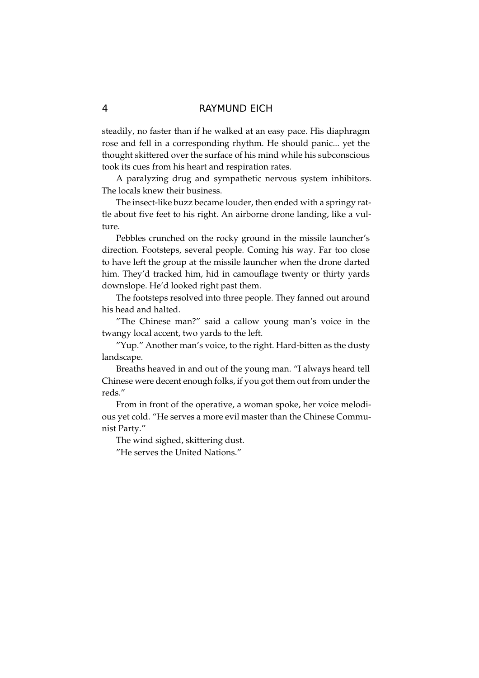steadily, no faster than if he walked at an easy pace. His diaphragm rose and fell in a corresponding rhythm. He should panic... yet the thought skittered over the surface of his mind while his subconscious took its cues from his heart and respiration rates.

A paralyzing drug and sympathetic nervous system inhibitors. The locals knew their business.

The insect-like buzz became louder, then ended with a springy rattle about five feet to his right. An airborne drone landing, like a vulture.

Pebbles crunched on the rocky ground in the missile launcher's direction. Footsteps, several people. Coming his way. Far too close to have left the group at the missile launcher when the drone darted him. They'd tracked him, hid in camouflage twenty or thirty yards downslope. He'd looked right past them.

The footsteps resolved into three people. They fanned out around his head and halted.

"The Chinese man?" said a callow young man's voice in the twangy local accent, two yards to the left.

"Yup." Another man's voice, to the right. Hard-bitten as the dusty landscape.

Breaths heaved in and out of the young man. "I always heard tell Chinese were decent enough folks, if you got them out from under the reds."

From in front of the operative, a woman spoke, her voice melodious yet cold. "He serves a more evil master than the Chinese Communist Party."

The wind sighed, skittering dust.

"He serves the United Nations."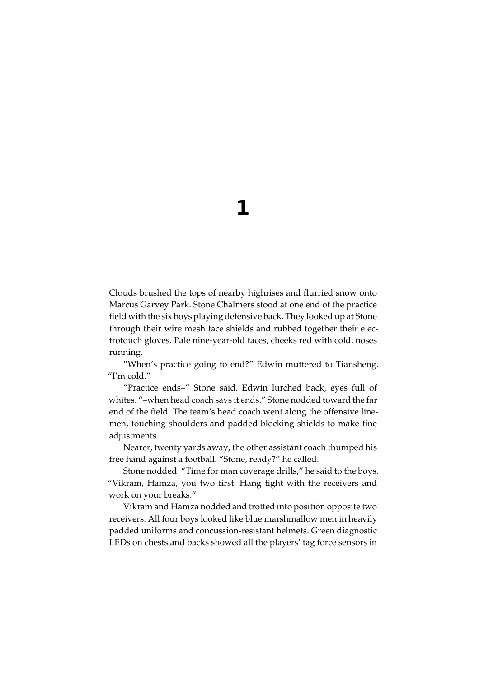1

Clouds brushed the tops of nearby highrises and flurried snow onto Marcus Garvey Park. Stone Chalmers stood at one end of the practice field with the six boys playing defensive back. They looked up at Stone through their wire mesh face shields and rubbed together their electrotouch gloves. Pale nine-year-old faces, cheeks red with cold, noses running.

"When's practice going to end?" Edwin muttered to Tiansheng. "I'm cold."

"Practice ends-" Stone said. Edwin lurched back, eyes full of whites. "-when head coach says it ends." Stone nodded toward the far end of the field. The team's head coach went along the offensive linemen, touching shoulders and padded blocking shields to make fine adjustments.

Nearer, twenty yards away, the other assistant coach thumped his free hand against a football. "Stone, ready?" he called.

Stone nodded. "Time for man coverage drills," he said to the boys. "Vikram, Hamza, you two first. Hang tight with the receivers and work on your breaks."

Vikram and Hamza nodded and trotted into position opposite two receivers. All four boys looked like blue marshmallow men in heavily padded uniforms and concussion-resistant helmets. Green diagnostic LEDs on chests and backs showed all the players' tag force sensors in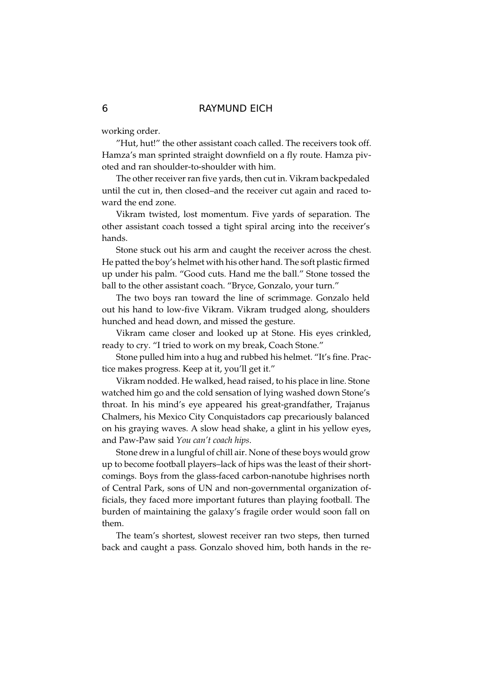working order.

"Hut, hut!" the other assistant coach called. The receivers took off. Hamza's man sprinted straight downfield on a fly route. Hamza pivoted and ran shoulder-to-shoulder with him.

The other receiver ran five yards, then cut in. Vikram backpedaled until the cut in, then closed-and the receiver cut again and raced toward the end zone.

Vikram twisted, lost momentum. Five yards of separation. The other assistant coach tossed a tight spiral arcing into the receiver's hands.

Stone stuck out his arm and caught the receiver across the chest. He patted the boy's helmet with his other hand. The soft plastic firmed up under his palm. "Good cuts. Hand me the ball." Stone tossed the ball to the other assistant coach. "Bryce, Gonzalo, your turn."

The two boys ran toward the line of scrimmage. Gonzalo held out his hand to low-five Vikram. Vikram trudged along, shoulders hunched and head down, and missed the gesture.

Vikram came closer and looked up at Stone. His eyes crinkled, ready to cry. "I tried to work on my break, Coach Stone."

Stone pulled him into a hug and rubbed his helmet. "It's fine. Practice makes progress. Keep at it, you'll get it."

Vikram nodded. He walked, head raised, to his place in line. Stone watched him go and the cold sensation of lying washed down Stone's throat. In his mind's eye appeared his great-grandfather, Trajanus Chalmers, his Mexico City Conquistadors cap precariously balanced on his graying waves. A slow head shake, a glint in his yellow eyes, and Paw-Paw said You can't coach hips.

Stone drew in a lungful of chill air. None of these boys would grow up to become football players-lack of hips was the least of their shortcomings. Boys from the glass-faced carbon-nanotube highrises north of Central Park, sons of UN and non-governmental organization officials, they faced more important futures than playing football. The burden of maintaining the galaxy's fragile order would soon fall on them.

The team's shortest, slowest receiver ran two steps, then turned back and caught a pass. Gonzalo shoved him, both hands in the re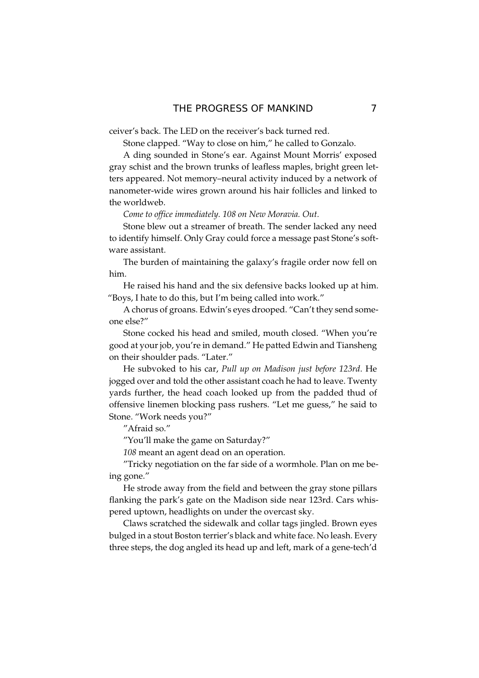ceiver's back. The LED on the receiver's back turned red.

Stone clapped. "Way to close on him," he called to Gonzalo.

A ding sounded in Stone's ear. Against Mount Morris' exposed gray schist and the brown trunks of leafless maples, bright green letters appeared. Not memory-neural activity induced by a network of nanometer-wide wires grown around his hair follicles and linked to the worldweb.

Come to office immediately. 108 on New Moravia. Out.

Stone blew out a streamer of breath. The sender lacked any need to identify himself. Only Gray could force a message past Stone's software assistant.

The burden of maintaining the galaxy's fragile order now fell on him.

He raised his hand and the six defensive backs looked up at him. "Boys, I hate to do this, but I'm being called into work."

A chorus of groans. Edwin's eyes drooped. "Can't they send someone else?"

Stone cocked his head and smiled, mouth closed. "When you're good at your job, you're in demand." He patted Edwin and Tiansheng on their shoulder pads. "Later."

He subvoked to his car, Pull up on Madison just before 123rd. He jogged over and told the other assistant coach he had to leave. Twenty yards further, the head coach looked up from the padded thud of offensive linemen blocking pass rushers. "Let me guess," he said to Stone. "Work needs you?"

"Afraid so."

"You'll make the game on Saturday?"

108 meant an agent dead on an operation.

"Tricky negotiation on the far side of a wormhole. Plan on me being gone."

He strode away from the field and between the gray stone pillars flanking the park's gate on the Madison side near 123rd. Cars whispered uptown, headlights on under the overcast sky.

Claws scratched the sidewalk and collar tags jingled. Brown eyes bulged in a stout Boston terrier's black and white face. No leash. Every three steps, the dog angled its head up and left, mark of a gene-tech'd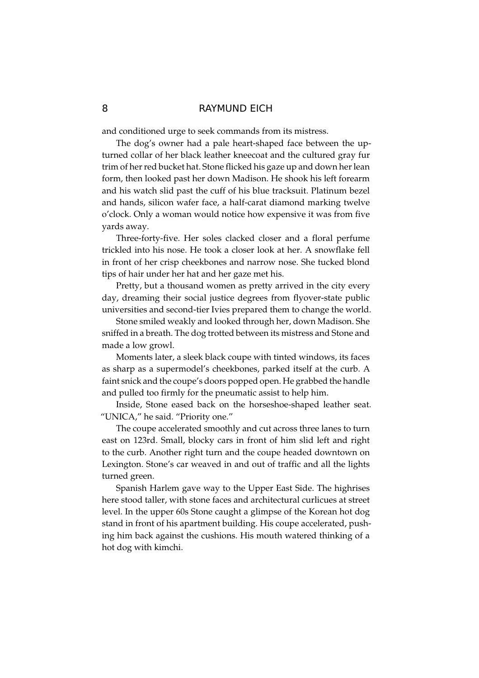and conditioned urge to seek commands from its mistress.

The dog's owner had a pale heart-shaped face between the upturned collar of her black leather kneecoat and the cultured gray fur trim of her red bucket hat. Stone flicked his gaze up and down her lean form, then looked past her down Madison. He shook his left forearm and his watch slid past the cuff of his blue tracksuit. Platinum bezel and hands, silicon wafer face, a half-carat diamond marking twelve o'clock. Only a woman would notice how expensive it was from five vards away.

Three-forty-five. Her soles clacked closer and a floral perfume trickled into his nose. He took a closer look at her. A snowflake fell in front of her crisp cheekbones and narrow nose. She tucked blond tips of hair under her hat and her gaze met his.

Pretty, but a thousand women as pretty arrived in the city every day, dreaming their social justice degrees from flyover-state public universities and second-tier Ivies prepared them to change the world.

Stone smiled weakly and looked through her, down Madison. She sniffed in a breath. The dog trotted between its mistress and Stone and made a low growl.

Moments later, a sleek black coupe with tinted windows, its faces as sharp as a supermodel's cheekbones, parked itself at the curb. A faint snick and the coupe's doors popped open. He grabbed the handle and pulled too firmly for the pneumatic assist to help him.

Inside, Stone eased back on the horseshoe-shaped leather seat. "UNICA," he said. "Priority one."

The coupe accelerated smoothly and cut across three lanes to turn east on 123rd. Small, blocky cars in front of him slid left and right to the curb. Another right turn and the coupe headed downtown on Lexington. Stone's car weaved in and out of traffic and all the lights turned green.

Spanish Harlem gave way to the Upper East Side. The highrises here stood taller, with stone faces and architectural curlicues at street level. In the upper 60s Stone caught a glimpse of the Korean hot dog stand in front of his apartment building. His coupe accelerated, pushing him back against the cushions. His mouth watered thinking of a hot dog with kimchi.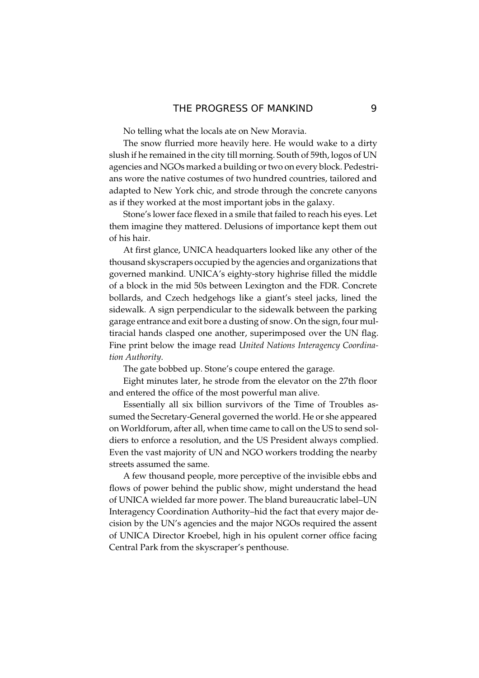No telling what the locals ate on New Moravia.

The snow flurried more heavily here. He would wake to a dirty slush if he remained in the city till morning. South of 59th, logos of UN agencies and NGOs marked a building or two on every block. Pedestrians wore the native costumes of two hundred countries, tailored and adapted to New York chic, and strode through the concrete canyons as if they worked at the most important jobs in the galaxy.

Stone's lower face flexed in a smile that failed to reach his eyes. Let them imagine they mattered. Delusions of importance kept them out of his hair

At first glance, UNICA headquarters looked like any other of the thousand skyscrapers occupied by the agencies and organizations that governed mankind. UNICA's eighty-story highrise filled the middle of a block in the mid 50s between Lexington and the FDR. Concrete bollards, and Czech hedgehogs like a giant's steel jacks, lined the sidewalk. A sign perpendicular to the sidewalk between the parking garage entrance and exit bore a dusting of snow. On the sign, four multiracial hands clasped one another, superimposed over the UN flag. Fine print below the image read United Nations Interagency Coordination Authority.

The gate bobbed up. Stone's coupe entered the garage.

Eight minutes later, he strode from the elevator on the 27th floor and entered the office of the most powerful man alive.

Essentially all six billion survivors of the Time of Troubles assumed the Secretary-General governed the world. He or she appeared on Worldforum, after all, when time came to call on the US to send soldiers to enforce a resolution, and the US President always complied. Even the vast majority of UN and NGO workers trodding the nearby streets assumed the same.

A few thousand people, more perceptive of the invisible ebbs and flows of power behind the public show, might understand the head of UNICA wielded far more power. The bland bureaucratic label-UN Interagency Coordination Authority-hid the fact that every major decision by the UN's agencies and the major NGOs required the assent of UNICA Director Kroebel, high in his opulent corner office facing Central Park from the skyscraper's penthouse.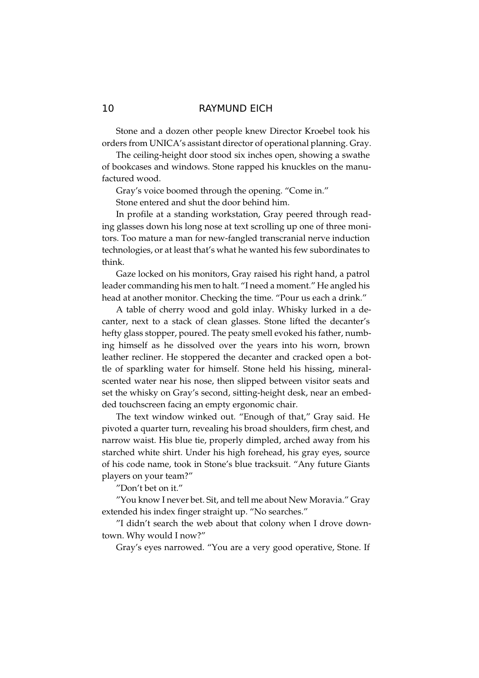Stone and a dozen other people knew Director Kroebel took his orders from UNICA's assistant director of operational planning. Gray.

The ceiling-height door stood six inches open, showing a swathe of bookcases and windows. Stone rapped his knuckles on the manufactured wood.

Gray's voice boomed through the opening. "Come in."

Stone entered and shut the door behind him.

In profile at a standing workstation, Gray peered through reading glasses down his long nose at text scrolling up one of three monitors. Too mature a man for new-fangled transcranial nerve induction technologies, or at least that's what he wanted his few subordinates to think.

Gaze locked on his monitors, Gray raised his right hand, a patrol leader commanding his men to halt. "I need a moment." He angled his head at another monitor. Checking the time. "Pour us each a drink."

A table of cherry wood and gold inlay. Whisky lurked in a decanter, next to a stack of clean glasses. Stone lifted the decanter's hefty glass stopper, poured. The peaty smell evoked his father, numbing himself as he dissolved over the years into his worn, brown leather recliner. He stoppered the decanter and cracked open a bottle of sparkling water for himself. Stone held his hissing, mineralscented water near his nose, then slipped between visitor seats and set the whisky on Gray's second, sitting-height desk, near an embedded touchscreen facing an empty ergonomic chair.

The text window winked out. "Enough of that," Gray said. He pivoted a quarter turn, revealing his broad shoulders, firm chest, and narrow waist. His blue tie, properly dimpled, arched away from his starched white shirt. Under his high forehead, his gray eyes, source of his code name, took in Stone's blue tracksuit. "Any future Giants players on your team?"

"Don't bet on it."

"You know I never bet. Sit, and tell me about New Moravia." Gray extended his index finger straight up. "No searches."

"I didn't search the web about that colony when I drove downtown. Why would I now?"

Gray's eyes narrowed. "You are a very good operative, Stone. If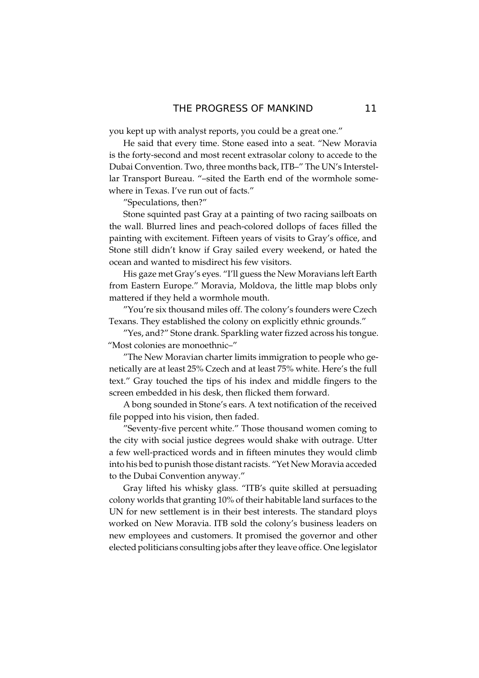you kept up with analyst reports, you could be a great one."

He said that every time. Stone eased into a seat. "New Moravia is the forty-second and most recent extrasolar colony to accede to the Dubai Convention. Two, three months back, ITB-" The UN's Interstellar Transport Bureau. "-sited the Earth end of the wormhole somewhere in Texas. I've run out of facts."

"Speculations, then?"

Stone squinted past Gray at a painting of two racing sailboats on the wall. Blurred lines and peach-colored dollops of faces filled the painting with excitement. Fifteen years of visits to Gray's office, and Stone still didn't know if Gray sailed every weekend, or hated the ocean and wanted to misdirect his few visitors.

His gaze met Gray's eyes. "I'll guess the New Moravians left Earth from Eastern Europe." Moravia, Moldova, the little map blobs only mattered if they held a wormhole mouth.

"You're six thousand miles off. The colony's founders were Czech Texans. They established the colony on explicitly ethnic grounds."

"Yes, and?" Stone drank. Sparkling water fizzed across his tongue. "Most colonies are monoethnic-"

"The New Moravian charter limits immigration to people who genetically are at least 25% Czech and at least 75% white. Here's the full text." Gray touched the tips of his index and middle fingers to the screen embedded in his desk, then flicked them forward.

A bong sounded in Stone's ears. A text notification of the received file popped into his vision, then faded.

"Seventy-five percent white." Those thousand women coming to the city with social justice degrees would shake with outrage. Utter a few well-practiced words and in fifteen minutes they would climb into his bed to punish those distant racists. "Yet New Moravia acceded to the Dubai Convention anyway."

Gray lifted his whisky glass. "ITB's quite skilled at persuading colony worlds that granting 10% of their habitable land surfaces to the UN for new settlement is in their best interests. The standard ploys worked on New Moravia. ITB sold the colony's business leaders on new employees and customers. It promised the governor and other elected politicians consulting jobs after they leave office. One legislator